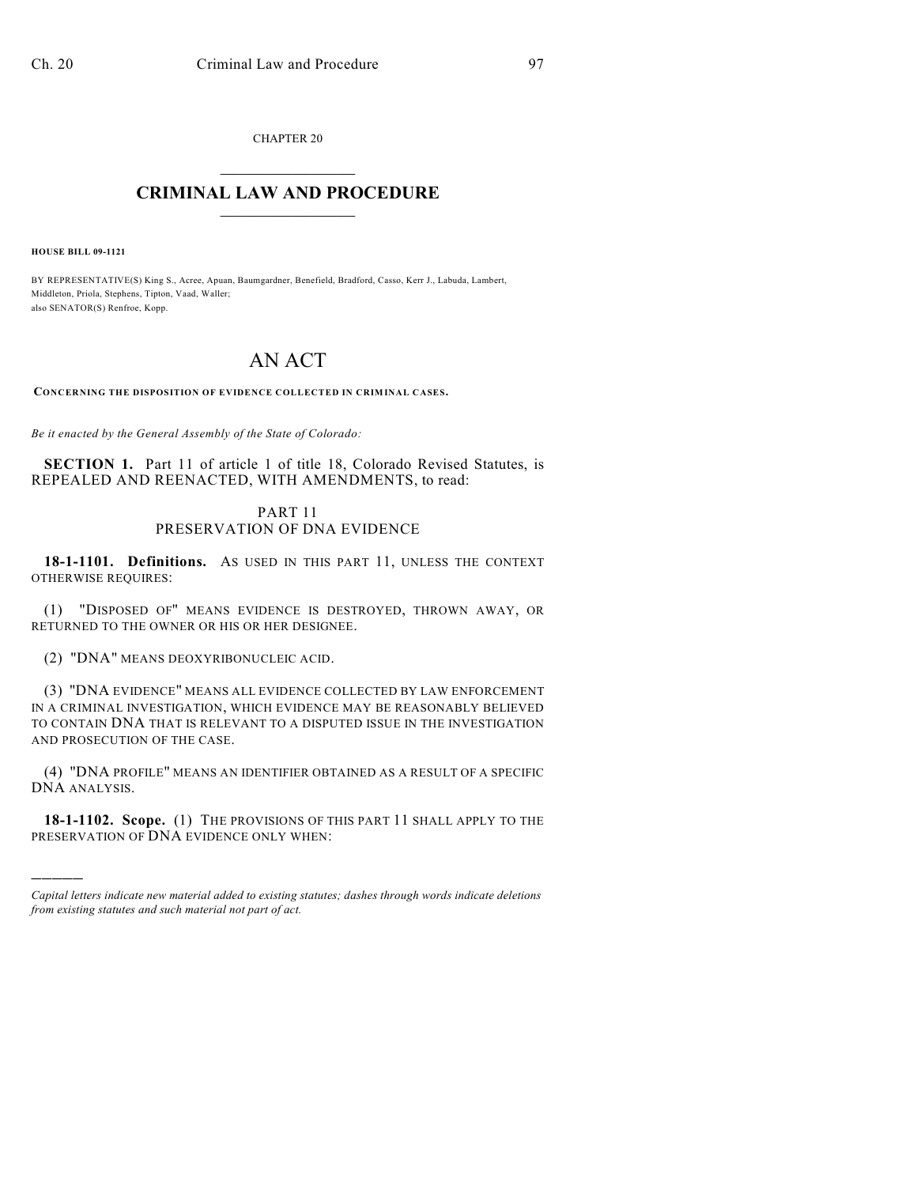CHAPTER 20  $\mathcal{L}_\text{max}$  . The set of the set of the set of the set of the set of the set of the set of the set of the set of the set of the set of the set of the set of the set of the set of the set of the set of the set of the set

## **CRIMINAL LAW AND PROCEDURE**  $\_$

**HOUSE BILL 09-1121**

)))))

BY REPRESENTATIVE(S) King S., Acree, Apuan, Baumgardner, Benefield, Bradford, Casso, Kerr J., Labuda, Lambert, Middleton, Priola, Stephens, Tipton, Vaad, Waller; also SENATOR(S) Renfroe, Kopp.

## AN ACT

**CONCERNING THE DISPOSITION OF EVIDENCE COLLECTED IN CRIMINAL CASES.**

*Be it enacted by the General Assembly of the State of Colorado:*

**SECTION 1.** Part 11 of article 1 of title 18, Colorado Revised Statutes, is REPEALED AND REENACTED, WITH AMENDMENTS, to read:

## PART 11 PRESERVATION OF DNA EVIDENCE

**18-1-1101. Definitions.** AS USED IN THIS PART 11, UNLESS THE CONTEXT OTHERWISE REQUIRES:

(1) "DISPOSED OF" MEANS EVIDENCE IS DESTROYED, THROWN AWAY, OR RETURNED TO THE OWNER OR HIS OR HER DESIGNEE.

(2) "DNA" MEANS DEOXYRIBONUCLEIC ACID.

(3) "DNA EVIDENCE" MEANS ALL EVIDENCE COLLECTED BY LAW ENFORCEMENT IN A CRIMINAL INVESTIGATION, WHICH EVIDENCE MAY BE REASONABLY BELIEVED TO CONTAIN DNA THAT IS RELEVANT TO A DISPUTED ISSUE IN THE INVESTIGATION AND PROSECUTION OF THE CASE.

(4) "DNA PROFILE" MEANS AN IDENTIFIER OBTAINED AS A RESULT OF A SPECIFIC DNA ANALYSIS.

**18-1-1102. Scope.** (1) THE PROVISIONS OF THIS PART 11 SHALL APPLY TO THE PRESERVATION OF DNA EVIDENCE ONLY WHEN:

*Capital letters indicate new material added to existing statutes; dashes through words indicate deletions from existing statutes and such material not part of act.*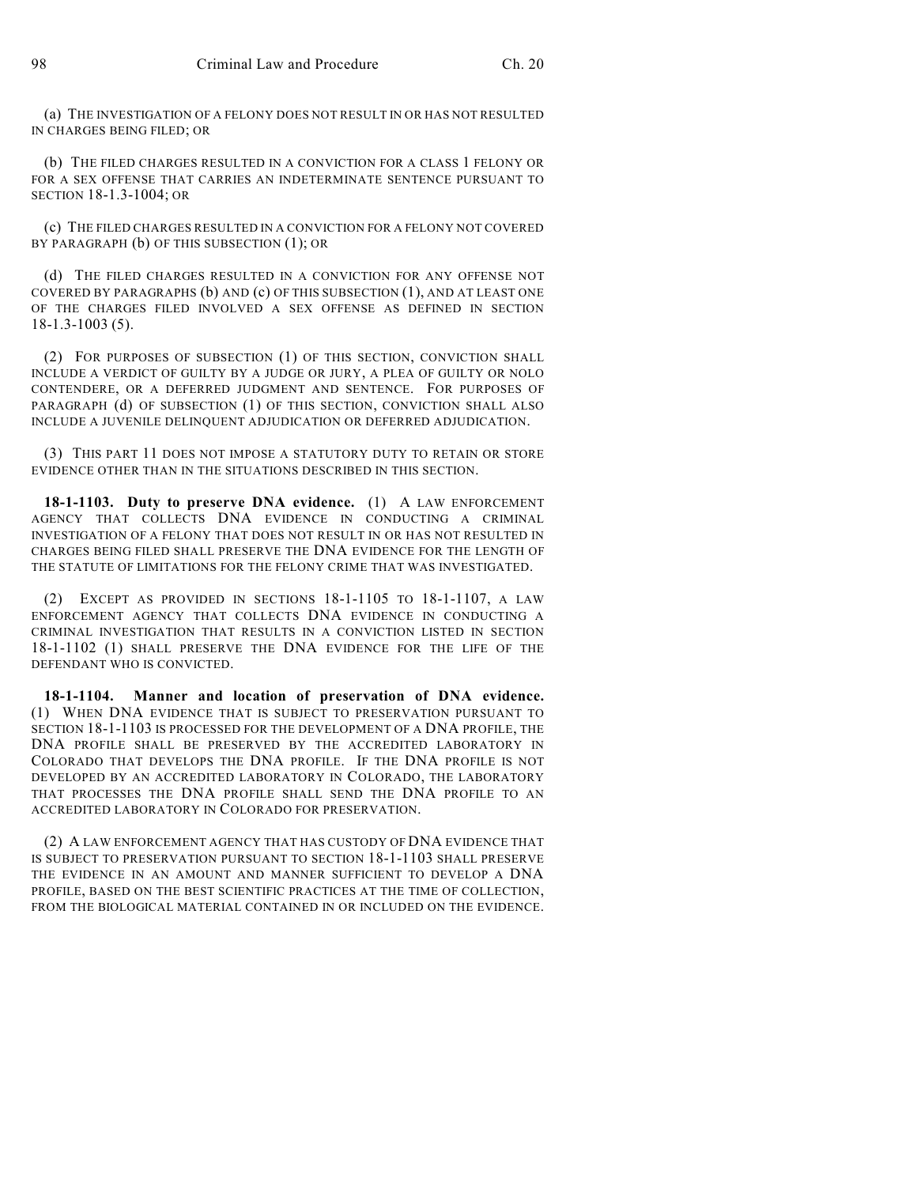(a) THE INVESTIGATION OF A FELONY DOES NOT RESULT IN OR HAS NOT RESULTED IN CHARGES BEING FILED; OR

(b) THE FILED CHARGES RESULTED IN A CONVICTION FOR A CLASS 1 FELONY OR FOR A SEX OFFENSE THAT CARRIES AN INDETERMINATE SENTENCE PURSUANT TO SECTION 18-1.3-1004; OR

(c) THE FILED CHARGES RESULTED IN A CONVICTION FOR A FELONY NOT COVERED BY PARAGRAPH (b) OF THIS SUBSECTION (1); OR

(d) THE FILED CHARGES RESULTED IN A CONVICTION FOR ANY OFFENSE NOT COVERED BY PARAGRAPHS (b) AND (c) OF THIS SUBSECTION (1), AND AT LEAST ONE OF THE CHARGES FILED INVOLVED A SEX OFFENSE AS DEFINED IN SECTION 18-1.3-1003 (5).

(2) FOR PURPOSES OF SUBSECTION (1) OF THIS SECTION, CONVICTION SHALL INCLUDE A VERDICT OF GUILTY BY A JUDGE OR JURY, A PLEA OF GUILTY OR NOLO CONTENDERE, OR A DEFERRED JUDGMENT AND SENTENCE. FOR PURPOSES OF PARAGRAPH (d) OF SUBSECTION (1) OF THIS SECTION, CONVICTION SHALL ALSO INCLUDE A JUVENILE DELINQUENT ADJUDICATION OR DEFERRED ADJUDICATION.

(3) THIS PART 11 DOES NOT IMPOSE A STATUTORY DUTY TO RETAIN OR STORE EVIDENCE OTHER THAN IN THE SITUATIONS DESCRIBED IN THIS SECTION.

**18-1-1103. Duty to preserve DNA evidence.** (1) A LAW ENFORCEMENT AGENCY THAT COLLECTS DNA EVIDENCE IN CONDUCTING A CRIMINAL INVESTIGATION OF A FELONY THAT DOES NOT RESULT IN OR HAS NOT RESULTED IN CHARGES BEING FILED SHALL PRESERVE THE DNA EVIDENCE FOR THE LENGTH OF THE STATUTE OF LIMITATIONS FOR THE FELONY CRIME THAT WAS INVESTIGATED.

(2) EXCEPT AS PROVIDED IN SECTIONS 18-1-1105 TO 18-1-1107, A LAW ENFORCEMENT AGENCY THAT COLLECTS DNA EVIDENCE IN CONDUCTING A CRIMINAL INVESTIGATION THAT RESULTS IN A CONVICTION LISTED IN SECTION 18-1-1102 (1) SHALL PRESERVE THE DNA EVIDENCE FOR THE LIFE OF THE DEFENDANT WHO IS CONVICTED.

**18-1-1104. Manner and location of preservation of DNA evidence.** (1) WHEN DNA EVIDENCE THAT IS SUBJECT TO PRESERVATION PURSUANT TO SECTION 18-1-1103 IS PROCESSED FOR THE DEVELOPMENT OF A DNA PROFILE, THE DNA PROFILE SHALL BE PRESERVED BY THE ACCREDITED LABORATORY IN COLORADO THAT DEVELOPS THE DNA PROFILE. IF THE DNA PROFILE IS NOT DEVELOPED BY AN ACCREDITED LABORATORY IN COLORADO, THE LABORATORY THAT PROCESSES THE DNA PROFILE SHALL SEND THE DNA PROFILE TO AN ACCREDITED LABORATORY IN COLORADO FOR PRESERVATION.

(2) A LAW ENFORCEMENT AGENCY THAT HAS CUSTODY OF DNA EVIDENCE THAT IS SUBJECT TO PRESERVATION PURSUANT TO SECTION 18-1-1103 SHALL PRESERVE THE EVIDENCE IN AN AMOUNT AND MANNER SUFFICIENT TO DEVELOP A DNA PROFILE, BASED ON THE BEST SCIENTIFIC PRACTICES AT THE TIME OF COLLECTION, FROM THE BIOLOGICAL MATERIAL CONTAINED IN OR INCLUDED ON THE EVIDENCE.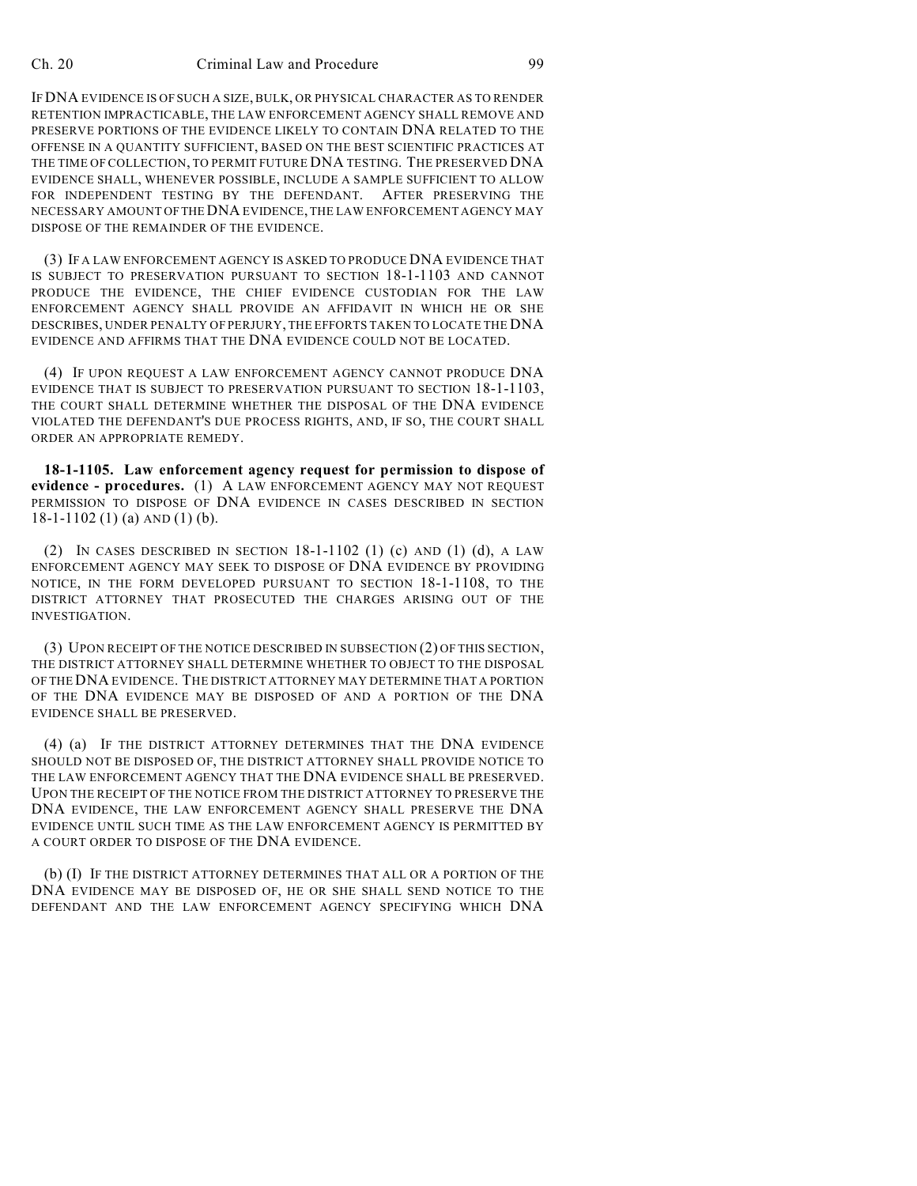## Ch. 20 Criminal Law and Procedure 99

IF DNA EVIDENCE IS OF SUCH A SIZE, BULK, OR PHYSICAL CHARACTER AS TO RENDER RETENTION IMPRACTICABLE, THE LAW ENFORCEMENT AGENCY SHALL REMOVE AND PRESERVE PORTIONS OF THE EVIDENCE LIKELY TO CONTAIN DNA RELATED TO THE OFFENSE IN A QUANTITY SUFFICIENT, BASED ON THE BEST SCIENTIFIC PRACTICES AT THE TIME OF COLLECTION, TO PERMIT FUTURE DNA TESTING. THE PRESERVED DNA EVIDENCE SHALL, WHENEVER POSSIBLE, INCLUDE A SAMPLE SUFFICIENT TO ALLOW FOR INDEPENDENT TESTING BY THE DEFENDANT. AFTER PRESERVING THE NECESSARY AMOUNT OF THE DNA EVIDENCE, THE LAW ENFORCEMENT AGENCY MAY DISPOSE OF THE REMAINDER OF THE EVIDENCE.

(3) IF A LAW ENFORCEMENT AGENCY IS ASKED TO PRODUCE DNA EVIDENCE THAT IS SUBJECT TO PRESERVATION PURSUANT TO SECTION 18-1-1103 AND CANNOT PRODUCE THE EVIDENCE, THE CHIEF EVIDENCE CUSTODIAN FOR THE LAW ENFORCEMENT AGENCY SHALL PROVIDE AN AFFIDAVIT IN WHICH HE OR SHE DESCRIBES, UNDER PENALTY OF PERJURY, THE EFFORTS TAKEN TO LOCATE THE DNA EVIDENCE AND AFFIRMS THAT THE DNA EVIDENCE COULD NOT BE LOCATED.

(4) IF UPON REQUEST A LAW ENFORCEMENT AGENCY CANNOT PRODUCE DNA EVIDENCE THAT IS SUBJECT TO PRESERVATION PURSUANT TO SECTION 18-1-1103, THE COURT SHALL DETERMINE WHETHER THE DISPOSAL OF THE DNA EVIDENCE VIOLATED THE DEFENDANT'S DUE PROCESS RIGHTS, AND, IF SO, THE COURT SHALL ORDER AN APPROPRIATE REMEDY.

**18-1-1105. Law enforcement agency request for permission to dispose of evidence - procedures.** (1) A LAW ENFORCEMENT AGENCY MAY NOT REQUEST PERMISSION TO DISPOSE OF DNA EVIDENCE IN CASES DESCRIBED IN SECTION 18-1-1102 (1) (a) AND (1) (b).

(2) IN CASES DESCRIBED IN SECTION 18-1-1102 (1) (c) AND (1) (d), A LAW ENFORCEMENT AGENCY MAY SEEK TO DISPOSE OF DNA EVIDENCE BY PROVIDING NOTICE, IN THE FORM DEVELOPED PURSUANT TO SECTION 18-1-1108, TO THE DISTRICT ATTORNEY THAT PROSECUTED THE CHARGES ARISING OUT OF THE INVESTIGATION.

(3) UPON RECEIPT OF THE NOTICE DESCRIBED IN SUBSECTION (2) OF THIS SECTION, THE DISTRICT ATTORNEY SHALL DETERMINE WHETHER TO OBJECT TO THE DISPOSAL OF THE DNA EVIDENCE. THE DISTRICT ATTORNEY MAY DETERMINE THAT A PORTION OF THE DNA EVIDENCE MAY BE DISPOSED OF AND A PORTION OF THE DNA EVIDENCE SHALL BE PRESERVED.

(4) (a) IF THE DISTRICT ATTORNEY DETERMINES THAT THE DNA EVIDENCE SHOULD NOT BE DISPOSED OF, THE DISTRICT ATTORNEY SHALL PROVIDE NOTICE TO THE LAW ENFORCEMENT AGENCY THAT THE DNA EVIDENCE SHALL BE PRESERVED. UPON THE RECEIPT OF THE NOTICE FROM THE DISTRICT ATTORNEY TO PRESERVE THE DNA EVIDENCE, THE LAW ENFORCEMENT AGENCY SHALL PRESERVE THE DNA EVIDENCE UNTIL SUCH TIME AS THE LAW ENFORCEMENT AGENCY IS PERMITTED BY A COURT ORDER TO DISPOSE OF THE DNA EVIDENCE.

(b) (I) IF THE DISTRICT ATTORNEY DETERMINES THAT ALL OR A PORTION OF THE DNA EVIDENCE MAY BE DISPOSED OF, HE OR SHE SHALL SEND NOTICE TO THE DEFENDANT AND THE LAW ENFORCEMENT AGENCY SPECIFYING WHICH DNA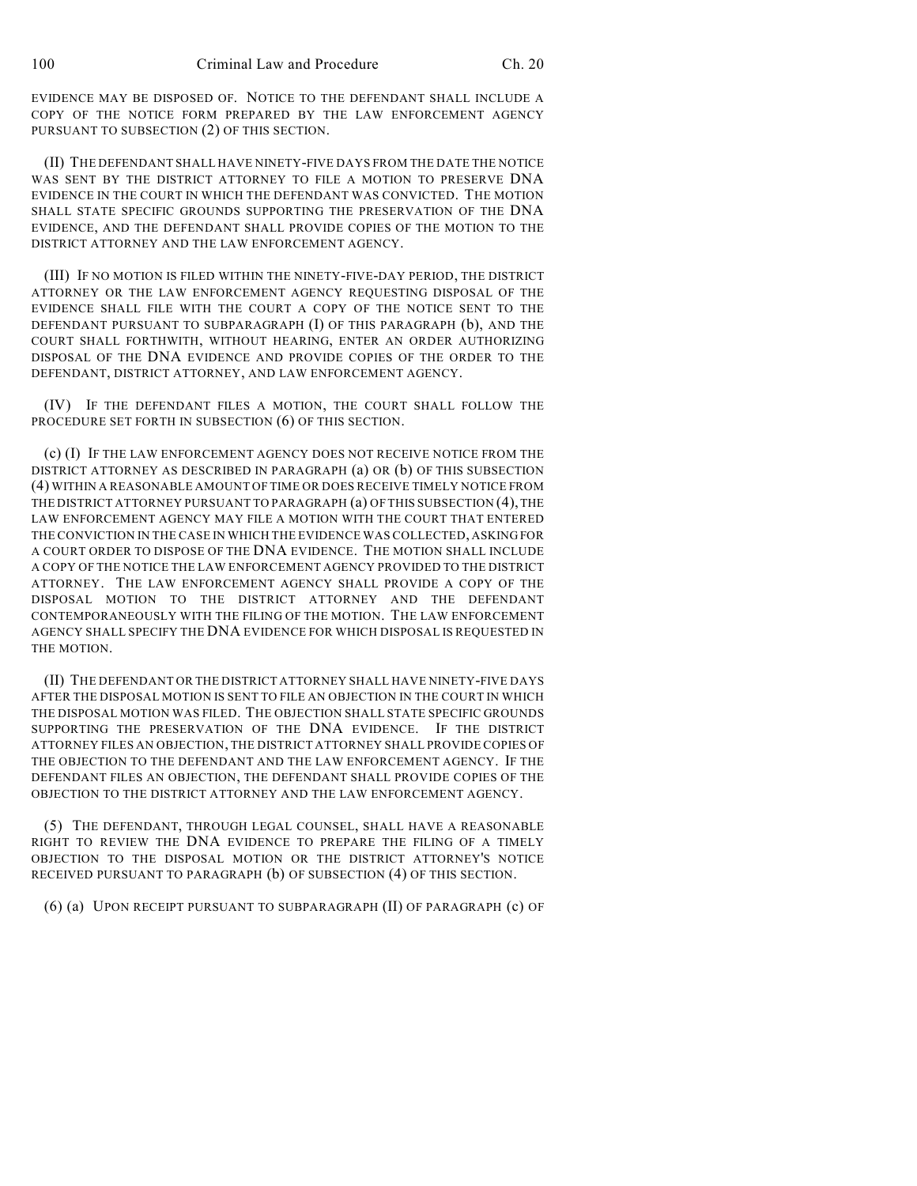EVIDENCE MAY BE DISPOSED OF. NOTICE TO THE DEFENDANT SHALL INCLUDE A COPY OF THE NOTICE FORM PREPARED BY THE LAW ENFORCEMENT AGENCY PURSUANT TO SUBSECTION (2) OF THIS SECTION.

(II) THE DEFENDANT SHALL HAVE NINETY-FIVE DAYS FROM THE DATE THE NOTICE WAS SENT BY THE DISTRICT ATTORNEY TO FILE A MOTION TO PRESERVE DNA EVIDENCE IN THE COURT IN WHICH THE DEFENDANT WAS CONVICTED. THE MOTION SHALL STATE SPECIFIC GROUNDS SUPPORTING THE PRESERVATION OF THE DNA EVIDENCE, AND THE DEFENDANT SHALL PROVIDE COPIES OF THE MOTION TO THE DISTRICT ATTORNEY AND THE LAW ENFORCEMENT AGENCY.

(III) IF NO MOTION IS FILED WITHIN THE NINETY-FIVE-DAY PERIOD, THE DISTRICT ATTORNEY OR THE LAW ENFORCEMENT AGENCY REQUESTING DISPOSAL OF THE EVIDENCE SHALL FILE WITH THE COURT A COPY OF THE NOTICE SENT TO THE DEFENDANT PURSUANT TO SUBPARAGRAPH (I) OF THIS PARAGRAPH (b), AND THE COURT SHALL FORTHWITH, WITHOUT HEARING, ENTER AN ORDER AUTHORIZING DISPOSAL OF THE DNA EVIDENCE AND PROVIDE COPIES OF THE ORDER TO THE DEFENDANT, DISTRICT ATTORNEY, AND LAW ENFORCEMENT AGENCY.

(IV) IF THE DEFENDANT FILES A MOTION, THE COURT SHALL FOLLOW THE PROCEDURE SET FORTH IN SUBSECTION (6) OF THIS SECTION.

(c) (I) IF THE LAW ENFORCEMENT AGENCY DOES NOT RECEIVE NOTICE FROM THE DISTRICT ATTORNEY AS DESCRIBED IN PARAGRAPH (a) OR (b) OF THIS SUBSECTION (4) WITHIN A REASONABLE AMOUNT OF TIME OR DOES RECEIVE TIMELY NOTICE FROM THE DISTRICT ATTORNEY PURSUANT TO PARAGRAPH (a) OF THIS SUBSECTION (4), THE LAW ENFORCEMENT AGENCY MAY FILE A MOTION WITH THE COURT THAT ENTERED THE CONVICTION IN THE CASE IN WHICH THE EVIDENCE WAS COLLECTED, ASKING FOR A COURT ORDER TO DISPOSE OF THE DNA EVIDENCE. THE MOTION SHALL INCLUDE A COPY OF THE NOTICE THE LAW ENFORCEMENT AGENCY PROVIDED TO THE DISTRICT ATTORNEY. THE LAW ENFORCEMENT AGENCY SHALL PROVIDE A COPY OF THE DISPOSAL MOTION TO THE DISTRICT ATTORNEY AND THE DEFENDANT CONTEMPORANEOUSLY WITH THE FILING OF THE MOTION. THE LAW ENFORCEMENT AGENCY SHALL SPECIFY THE DNA EVIDENCE FOR WHICH DISPOSAL IS REQUESTED IN THE MOTION.

(II) THE DEFENDANT OR THE DISTRICT ATTORNEY SHALL HAVE NINETY-FIVE DAYS AFTER THE DISPOSAL MOTION IS SENT TO FILE AN OBJECTION IN THE COURT IN WHICH THE DISPOSAL MOTION WAS FILED. THE OBJECTION SHALL STATE SPECIFIC GROUNDS SUPPORTING THE PRESERVATION OF THE DNA EVIDENCE. IF THE DISTRICT ATTORNEY FILES AN OBJECTION, THE DISTRICT ATTORNEY SHALL PROVIDE COPIES OF THE OBJECTION TO THE DEFENDANT AND THE LAW ENFORCEMENT AGENCY. IF THE DEFENDANT FILES AN OBJECTION, THE DEFENDANT SHALL PROVIDE COPIES OF THE OBJECTION TO THE DISTRICT ATTORNEY AND THE LAW ENFORCEMENT AGENCY.

(5) THE DEFENDANT, THROUGH LEGAL COUNSEL, SHALL HAVE A REASONABLE RIGHT TO REVIEW THE DNA EVIDENCE TO PREPARE THE FILING OF A TIMELY OBJECTION TO THE DISPOSAL MOTION OR THE DISTRICT ATTORNEY'S NOTICE RECEIVED PURSUANT TO PARAGRAPH (b) OF SUBSECTION (4) OF THIS SECTION.

(6) (a) UPON RECEIPT PURSUANT TO SUBPARAGRAPH (II) OF PARAGRAPH (c) OF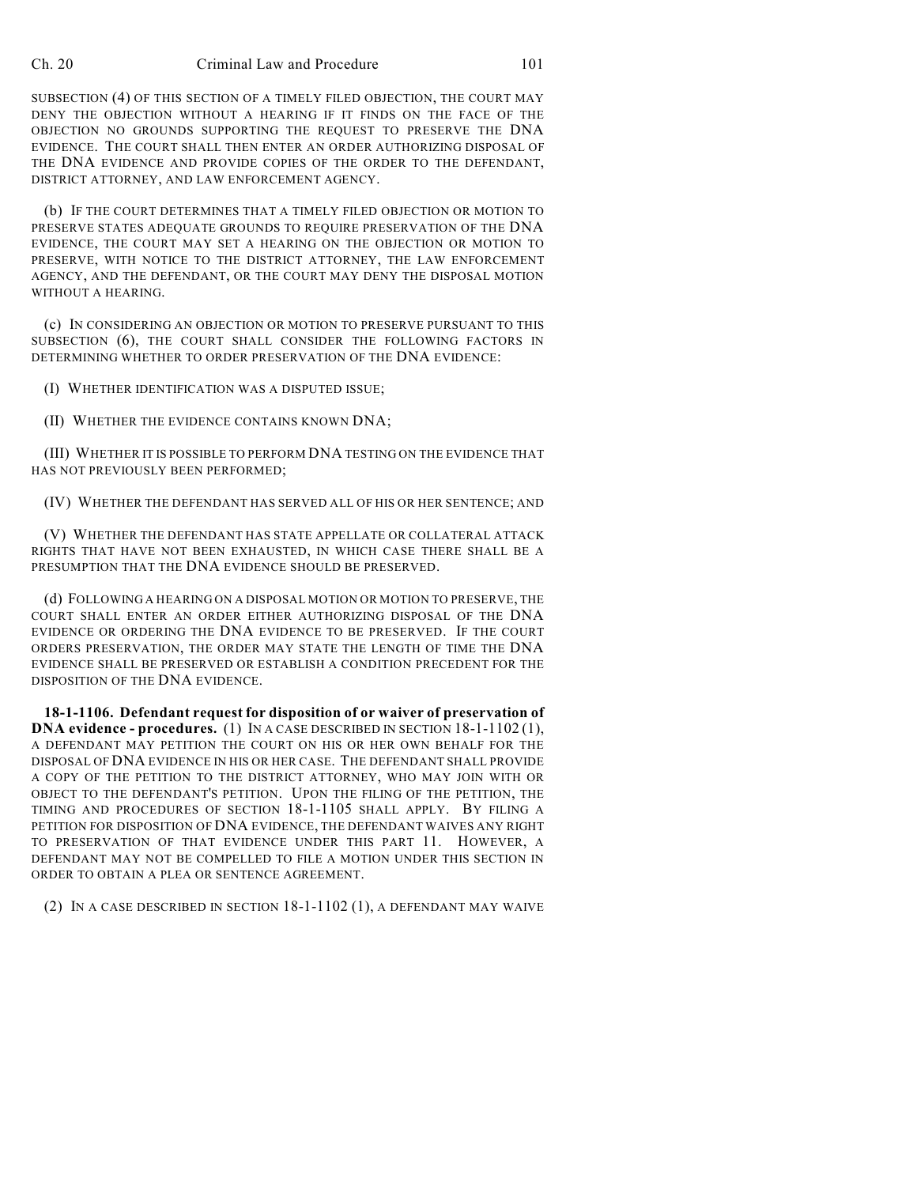SUBSECTION (4) OF THIS SECTION OF A TIMELY FILED OBJECTION, THE COURT MAY DENY THE OBJECTION WITHOUT A HEARING IF IT FINDS ON THE FACE OF THE OBJECTION NO GROUNDS SUPPORTING THE REQUEST TO PRESERVE THE DNA EVIDENCE. THE COURT SHALL THEN ENTER AN ORDER AUTHORIZING DISPOSAL OF THE DNA EVIDENCE AND PROVIDE COPIES OF THE ORDER TO THE DEFENDANT, DISTRICT ATTORNEY, AND LAW ENFORCEMENT AGENCY.

(b) IF THE COURT DETERMINES THAT A TIMELY FILED OBJECTION OR MOTION TO PRESERVE STATES ADEQUATE GROUNDS TO REQUIRE PRESERVATION OF THE DNA EVIDENCE, THE COURT MAY SET A HEARING ON THE OBJECTION OR MOTION TO PRESERVE, WITH NOTICE TO THE DISTRICT ATTORNEY, THE LAW ENFORCEMENT AGENCY, AND THE DEFENDANT, OR THE COURT MAY DENY THE DISPOSAL MOTION WITHOUT A HEARING.

(c) IN CONSIDERING AN OBJECTION OR MOTION TO PRESERVE PURSUANT TO THIS SUBSECTION (6), THE COURT SHALL CONSIDER THE FOLLOWING FACTORS IN DETERMINING WHETHER TO ORDER PRESERVATION OF THE DNA EVIDENCE:

(I) WHETHER IDENTIFICATION WAS A DISPUTED ISSUE;

(II) WHETHER THE EVIDENCE CONTAINS KNOWN DNA;

(III) WHETHER IT IS POSSIBLE TO PERFORM DNA TESTING ON THE EVIDENCE THAT HAS NOT PREVIOUSLY BEEN PERFORMED;

(IV) WHETHER THE DEFENDANT HAS SERVED ALL OF HIS OR HER SENTENCE; AND

(V) WHETHER THE DEFENDANT HAS STATE APPELLATE OR COLLATERAL ATTACK RIGHTS THAT HAVE NOT BEEN EXHAUSTED, IN WHICH CASE THERE SHALL BE A PRESUMPTION THAT THE DNA EVIDENCE SHOULD BE PRESERVED.

(d) FOLLOWING A HEARING ON A DISPOSAL MOTION OR MOTION TO PRESERVE, THE COURT SHALL ENTER AN ORDER EITHER AUTHORIZING DISPOSAL OF THE DNA EVIDENCE OR ORDERING THE DNA EVIDENCE TO BE PRESERVED. IF THE COURT ORDERS PRESERVATION, THE ORDER MAY STATE THE LENGTH OF TIME THE DNA EVIDENCE SHALL BE PRESERVED OR ESTABLISH A CONDITION PRECEDENT FOR THE DISPOSITION OF THE DNA EVIDENCE.

**18-1-1106. Defendant request for disposition of or waiver of preservation of DNA evidence - procedures.** (1) IN A CASE DESCRIBED IN SECTION 18-1-1102 (1), A DEFENDANT MAY PETITION THE COURT ON HIS OR HER OWN BEHALF FOR THE DISPOSAL OF DNA EVIDENCE IN HIS OR HER CASE. THE DEFENDANT SHALL PROVIDE A COPY OF THE PETITION TO THE DISTRICT ATTORNEY, WHO MAY JOIN WITH OR OBJECT TO THE DEFENDANT'S PETITION. UPON THE FILING OF THE PETITION, THE TIMING AND PROCEDURES OF SECTION 18-1-1105 SHALL APPLY. BY FILING A PETITION FOR DISPOSITION OF DNA EVIDENCE, THE DEFENDANT WAIVES ANY RIGHT TO PRESERVATION OF THAT EVIDENCE UNDER THIS PART 11. HOWEVER, A DEFENDANT MAY NOT BE COMPELLED TO FILE A MOTION UNDER THIS SECTION IN ORDER TO OBTAIN A PLEA OR SENTENCE AGREEMENT.

(2) IN A CASE DESCRIBED IN SECTION 18-1-1102 (1), A DEFENDANT MAY WAIVE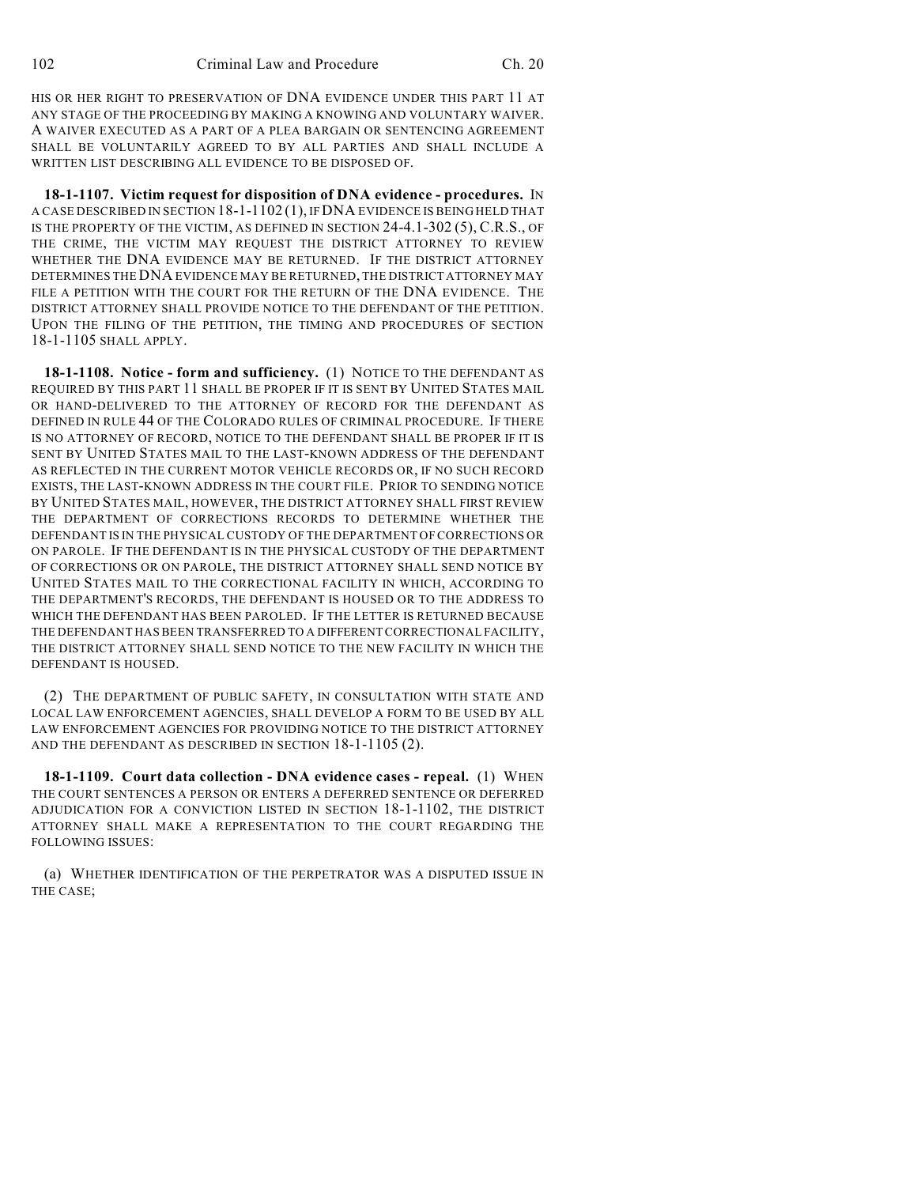HIS OR HER RIGHT TO PRESERVATION OF DNA EVIDENCE UNDER THIS PART 11 AT ANY STAGE OF THE PROCEEDING BY MAKING A KNOWING AND VOLUNTARY WAIVER. A WAIVER EXECUTED AS A PART OF A PLEA BARGAIN OR SENTENCING AGREEMENT SHALL BE VOLUNTARILY AGREED TO BY ALL PARTIES AND SHALL INCLUDE A WRITTEN LIST DESCRIBING ALL EVIDENCE TO BE DISPOSED OF.

**18-1-1107. Victim request for disposition of DNA evidence - procedures.** IN A CASE DESCRIBED IN SECTION 18-1-1102 (1), IFDNA EVIDENCE IS BEING HELD THAT IS THE PROPERTY OF THE VICTIM, AS DEFINED IN SECTION 24-4.1-302 (5), C.R.S., OF THE CRIME, THE VICTIM MAY REQUEST THE DISTRICT ATTORNEY TO REVIEW WHETHER THE DNA EVIDENCE MAY BE RETURNED. IF THE DISTRICT ATTORNEY DETERMINES THE DNA EVIDENCE MAY BE RETURNED, THE DISTRICT ATTORNEY MAY FILE A PETITION WITH THE COURT FOR THE RETURN OF THE DNA EVIDENCE. THE DISTRICT ATTORNEY SHALL PROVIDE NOTICE TO THE DEFENDANT OF THE PETITION. UPON THE FILING OF THE PETITION, THE TIMING AND PROCEDURES OF SECTION 18-1-1105 SHALL APPLY.

**18-1-1108. Notice - form and sufficiency.** (1) NOTICE TO THE DEFENDANT AS REQUIRED BY THIS PART 11 SHALL BE PROPER IF IT IS SENT BY UNITED STATES MAIL OR HAND-DELIVERED TO THE ATTORNEY OF RECORD FOR THE DEFENDANT AS DEFINED IN RULE 44 OF THE COLORADO RULES OF CRIMINAL PROCEDURE. IF THERE IS NO ATTORNEY OF RECORD, NOTICE TO THE DEFENDANT SHALL BE PROPER IF IT IS SENT BY UNITED STATES MAIL TO THE LAST-KNOWN ADDRESS OF THE DEFENDANT AS REFLECTED IN THE CURRENT MOTOR VEHICLE RECORDS OR, IF NO SUCH RECORD EXISTS, THE LAST-KNOWN ADDRESS IN THE COURT FILE. PRIOR TO SENDING NOTICE BY UNITED STATES MAIL, HOWEVER, THE DISTRICT ATTORNEY SHALL FIRST REVIEW THE DEPARTMENT OF CORRECTIONS RECORDS TO DETERMINE WHETHER THE DEFENDANT IS IN THE PHYSICAL CUSTODY OF THE DEPARTMENT OF CORRECTIONS OR ON PAROLE. IF THE DEFENDANT IS IN THE PHYSICAL CUSTODY OF THE DEPARTMENT OF CORRECTIONS OR ON PAROLE, THE DISTRICT ATTORNEY SHALL SEND NOTICE BY UNITED STATES MAIL TO THE CORRECTIONAL FACILITY IN WHICH, ACCORDING TO THE DEPARTMENT'S RECORDS, THE DEFENDANT IS HOUSED OR TO THE ADDRESS TO WHICH THE DEFENDANT HAS BEEN PAROLED. IF THE LETTER IS RETURNED BECAUSE THE DEFENDANT HAS BEEN TRANSFERRED TO A DIFFERENT CORRECTIONAL FACILITY, THE DISTRICT ATTORNEY SHALL SEND NOTICE TO THE NEW FACILITY IN WHICH THE DEFENDANT IS HOUSED.

(2) THE DEPARTMENT OF PUBLIC SAFETY, IN CONSULTATION WITH STATE AND LOCAL LAW ENFORCEMENT AGENCIES, SHALL DEVELOP A FORM TO BE USED BY ALL LAW ENFORCEMENT AGENCIES FOR PROVIDING NOTICE TO THE DISTRICT ATTORNEY AND THE DEFENDANT AS DESCRIBED IN SECTION 18-1-1105 (2).

**18-1-1109. Court data collection - DNA evidence cases - repeal.** (1) WHEN THE COURT SENTENCES A PERSON OR ENTERS A DEFERRED SENTENCE OR DEFERRED ADJUDICATION FOR A CONVICTION LISTED IN SECTION 18-1-1102, THE DISTRICT ATTORNEY SHALL MAKE A REPRESENTATION TO THE COURT REGARDING THE FOLLOWING ISSUES:

(a) WHETHER IDENTIFICATION OF THE PERPETRATOR WAS A DISPUTED ISSUE IN THE CASE;